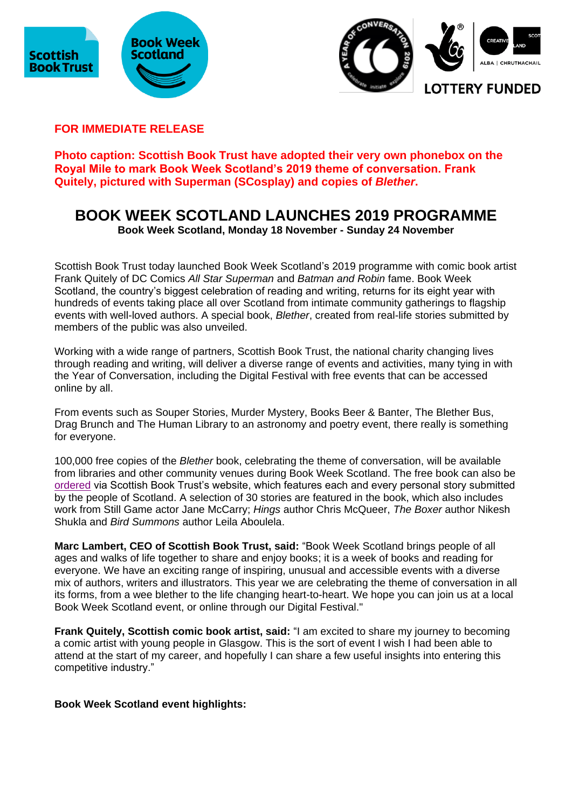



**FOR IMMEDIATE RELEASE**

**Photo caption: Scottish Book Trust have adopted their very own phonebox on the Royal Mile to mark Book Week Scotland's 2019 theme of conversation. Frank Quitely, pictured with Superman (SCosplay) and copies of** *Blether***.**

# **BOOK WEEK SCOTLAND LAUNCHES 2019 PROGRAMME**

**Book Week Scotland, Monday 18 November - Sunday 24 November**

Scottish Book Trust today launched Book Week Scotland's 2019 programme with comic book artist Frank Quitely of DC Comics *All Star Superman* and *Batman and Robin* fame. Book Week Scotland, the country's biggest celebration of reading and writing, returns for its eight year with hundreds of events taking place all over Scotland from intimate community gatherings to flagship events with well-loved authors. A special book, *Blether*, created from real-life stories submitted by members of the public was also unveiled.

Working with a wide range of partners, Scottish Book Trust, the national charity changing lives through reading and writing, will deliver a diverse range of events and activities, many tying in with the Year of Conversation, including the Digital Festival with free events that can be accessed online by all.

From events such as Souper Stories, Murder Mystery, Books Beer & Banter, The Blether Bus, Drag Brunch and The Human Library to an astronomy and poetry event, there really is something for everyone.

100,000 free copies of the *Blether* book, celebrating the theme of conversation, will be available from libraries and other community venues during Book Week Scotland. The free book can also be [ordered](https://www.scottishbooktrust.com/book-week-scotland/marketing-materials) via Scottish Book Trust's website, which features each and every personal story submitted by the people of Scotland. A selection of 30 stories are featured in the book, which also includes work from Still Game actor Jane McCarry; *Hings* author Chris McQueer, *The Boxer* author Nikesh Shukla and *Bird Summons* author Leila Aboulela.

**Marc Lambert, CEO of Scottish Book Trust, said:** "Book Week Scotland brings people of all ages and walks of life together to share and enjoy books; it is a week of books and reading for everyone. We have an exciting range of inspiring, unusual and accessible events with a diverse mix of authors, writers and illustrators. This year we are celebrating the theme of conversation in all its forms, from a wee blether to the life changing heart-to-heart. We hope you can join us at a local Book Week Scotland event, or online through our Digital Festival."

**Frank Quitely, Scottish comic book artist, said:** "I am excited to share my journey to becoming a comic artist with young people in Glasgow. This is the sort of event I wish I had been able to attend at the start of my career, and hopefully I can share a few useful insights into entering this competitive industry."

**Book Week Scotland event highlights:**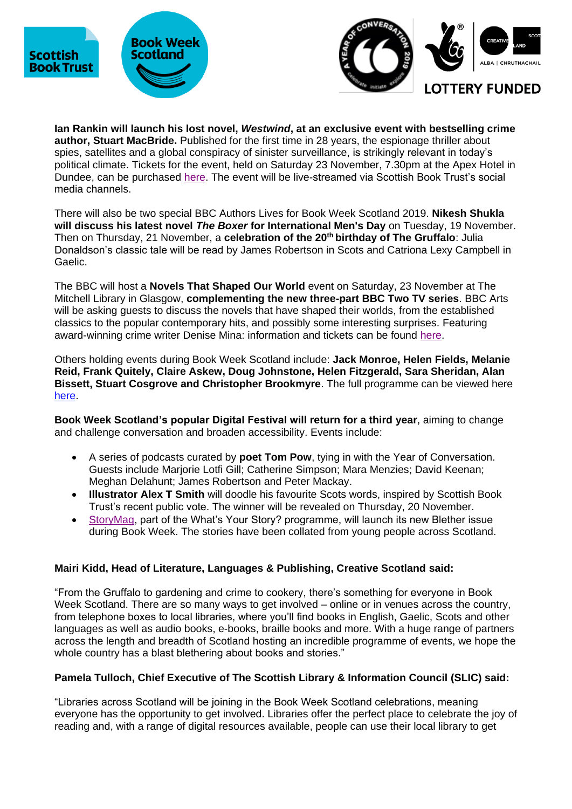





**Ian Rankin will launch his lost novel,** *Westwind***, at an exclusive event with bestselling crime author, Stuart MacBride.** Published for the first time in 28 years, the espionage thriller about spies, satellites and a global conspiracy of sinister surveillance, is strikingly relevant in today's political climate. Tickets for the event, held on Saturday 23 November, 7.30pm at the Apex Hotel in Dundee, can be purchased [here.](https://www.eventbrite.co.uk/e/ian-rankin-in-conversation-with-stuart-macbride-tickets-77104755399) The event will be live-streamed via Scottish Book Trust's social media channels.

There will also be two special BBC Authors Lives for Book Week Scotland 2019. **Nikesh Shukla will discuss his latest novel** *The Boxer* **for International Men's Day** on Tuesday, 19 November. Then on Thursday, 21 November, a **celebration of the 20th birthday of The Gruffalo**: Julia Donaldson's classic tale will be read by James Robertson in Scots and Catriona Lexy Campbell in Gaelic.

The BBC will host a **Novels That Shaped Our World** event on Saturday, 23 November at The Mitchell Library in Glasgow, **complementing the new three-part BBC Two TV series**. BBC Arts will be asking guests to discuss the novels that have shaped their worlds, from the established classics to the popular contemporary hits, and possibly some interesting surprises. Featuring award-winning crime writer Denise Mina: information and tickets can be found [here.](https://www.glasgowlife.org.uk/event/1/the-novels-that-shaped-our-world)

Others holding events during Book Week Scotland include: **Jack Monroe, Helen Fields, Melanie Reid, Frank Quitely, Claire Askew, Doug Johnstone, Helen Fitzgerald, Sara Sheridan, Alan Bissett, Stuart Cosgrove and Christopher Brookmyre**. The full programme can be viewed here [here.](https://www.scottishbooktrust.com/book-week-scotland/events)

**Book Week Scotland's popular Digital Festival will return for a third year**, aiming to change and challenge conversation and broaden accessibility. Events include:

- A series of podcasts curated by **poet Tom Pow**, tying in with the Year of Conversation. Guests include Marjorie Lotfi Gill; Catherine Simpson; Mara Menzies; David Keenan; Meghan Delahunt; James Robertson and Peter Mackay.
- **Illustrator Alex T Smith** will doodle his favourite Scots words, inspired by Scottish Book Trust's recent public vote. The winner will be revealed on Thursday, 20 November.
- [StoryMag,](https://www.thestoryis.co.uk/storymag/) part of the What's Your Story? programme, will launch its new Blether issue during Book Week. The stories have been collated from young people across Scotland.

# **Mairi Kidd, Head of Literature, Languages & Publishing, Creative Scotland said:**

"From the Gruffalo to gardening and crime to cookery, there's something for everyone in Book Week Scotland. There are so many ways to get involved – online or in venues across the country, from telephone boxes to local libraries, where you'll find books in English, Gaelic, Scots and other languages as well as audio books, e-books, braille books and more. With a huge range of partners across the length and breadth of Scotland hosting an incredible programme of events, we hope the whole country has a blast blethering about books and stories."

# **Pamela Tulloch, Chief Executive of The Scottish Library & Information Council (SLIC) said:**

"Libraries across Scotland will be joining in the Book Week Scotland celebrations, meaning everyone has the opportunity to get involved. Libraries offer the perfect place to celebrate the joy of reading and, with a range of digital resources available, people can use their local library to get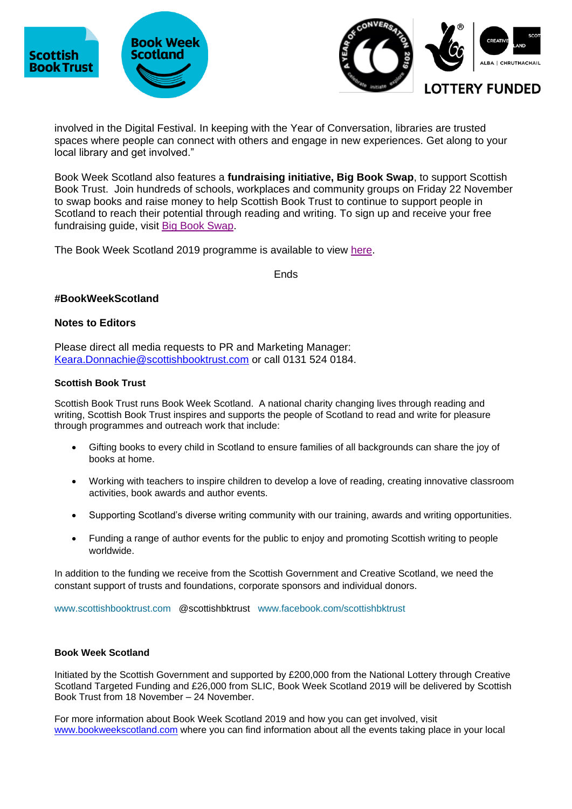





involved in the Digital Festival. In keeping with the Year of Conversation, libraries are trusted spaces where people can connect with others and engage in new experiences. Get along to your local library and get involved."

Book Week Scotland also features a **fundraising initiative, Big Book Swap**, to support Scottish Book Trust. Join hundreds of schools, workplaces and community groups on Friday 22 November to swap books and raise money to help Scottish Book Trust to continue to support people in Scotland to reach their potential through reading and writing. To sign up and receive your free fundraising guide, visit [Big Book Swap.](https://www.scottishbooktrust.com/BigBookSwap)

The Book Week Scotland 2019 programme is available to view [here.](http://www.bookweekscotland.com/events)

Ends

## **#BookWeekScotland**

## **Notes to Editors**

Please direct all media requests to PR and Marketing Manager: [Keara.Donnachie@scottishbooktrust.com](mailto:Keara.Donnachie@scottishbooktrust.com) or call 0131 524 0184.

#### **Scottish Book Trust**

Scottish Book Trust runs Book Week Scotland. A national charity changing lives through reading and writing, Scottish Book Trust inspires and supports the people of Scotland to read and write for pleasure through programmes and outreach work that include:

- Gifting books to every child in Scotland to ensure families of all backgrounds can share the joy of books at home.
- Working with teachers to inspire children to develop a love of reading, creating innovative classroom activities, book awards and author events.
- Supporting Scotland's diverse writing community with our training, awards and writing opportunities.
- Funding a range of author events for the public to enjoy and promoting Scottish writing to people worldwide.

In addition to the funding we receive from the Scottish Government and Creative Scotland, we need the constant support of trusts and foundations, corporate sponsors and individual donors.

[www.scottishbooktrust.com](http://www.scottishbooktrust.com/) @scottishbktrust [www.facebook.com/scottishbktrust](http://www.facebook.com/scottishbktrust)

#### **Book Week Scotland**

Initiated by the Scottish Government and supported by £200,000 from the National Lottery through Creative Scotland Targeted Funding and £26,000 from SLIC, Book Week Scotland 2019 will be delivered by Scottish Book Trust from 18 November – 24 November.

For more information about Book Week Scotland 2019 and how you can get involved, visit [www.bookweekscotland.com](http://www.bookweekscotland.com/) where you can find information about all the events taking place in your local